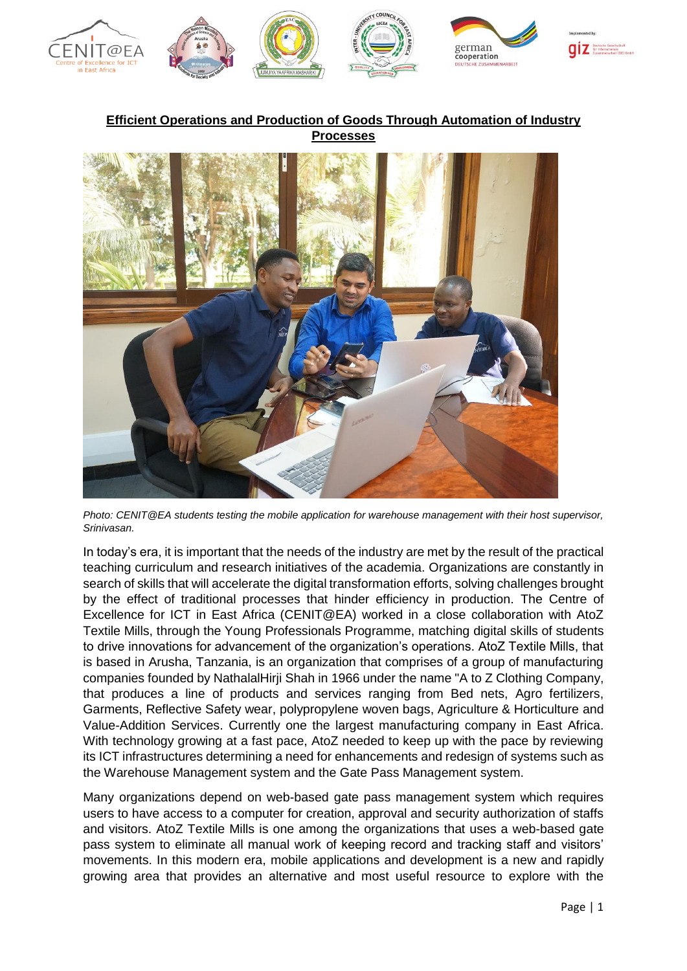

**Efficient Operations and Production of Goods Through Automation of Industry Processes**



*Photo: CENIT@EA students testing the mobile application for warehouse management with their host supervisor, Srinivasan.*

In today's era, it is important that the needs of the industry are met by the result of the practical teaching curriculum and research initiatives of the academia. Organizations are constantly in search of skills that will accelerate the digital transformation efforts, solving challenges brought by the effect of traditional processes that hinder efficiency in production. The Centre of Excellence for ICT in East Africa (CENIT@EA) worked in a close collaboration with AtoZ Textile Mills, through the Young Professionals Programme, matching digital skills of students to drive innovations for advancement of the organization's operations. AtoZ Textile Mills, that is based in Arusha, Tanzania, is an organization that comprises of a group of manufacturing companies founded by NathalalHirji Shah in 1966 under the name "A to Z Clothing Company, that produces a line of products and services ranging from Bed nets, Agro fertilizers, Garments, Reflective Safety wear, polypropylene woven bags, Agriculture & Horticulture and Value-Addition Services. Currently one the largest manufacturing company in East Africa. With technology growing at a fast pace, AtoZ needed to keep up with the pace by reviewing its ICT infrastructures determining a need for enhancements and redesign of systems such as the Warehouse Management system and the Gate Pass Management system.

Many organizations depend on web-based gate pass management system which requires users to have access to a computer for creation, approval and security authorization of staffs and visitors. AtoZ Textile Mills is one among the organizations that uses a web-based gate pass system to eliminate all manual work of keeping record and tracking staff and visitors' movements. In this modern era, mobile applications and development is a new and rapidly growing area that provides an alternative and most useful resource to explore with the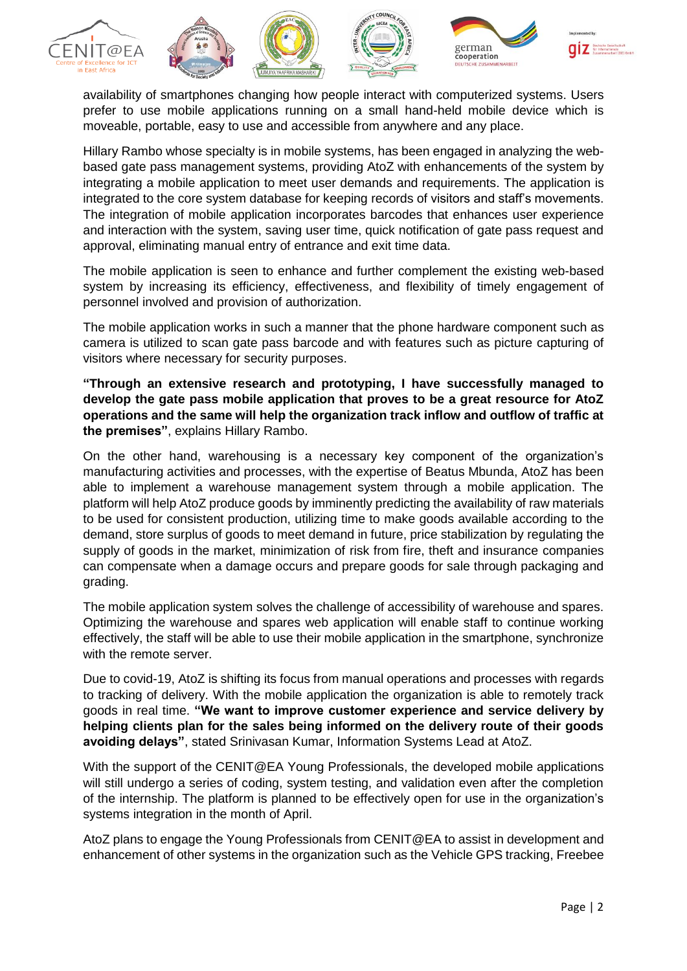











availability of smartphones changing how people interact with computerized systems. Users prefer to use mobile applications running on a small hand-held mobile device which is moveable, portable, easy to use and accessible from anywhere and any place.

Hillary Rambo whose specialty is in mobile systems, has been engaged in analyzing the webbased gate pass management systems, providing AtoZ with enhancements of the system by integrating a mobile application to meet user demands and requirements. The application is integrated to the core system database for keeping records of visitors and staff's movements. The integration of mobile application incorporates barcodes that enhances user experience and interaction with the system, saving user time, quick notification of gate pass request and approval, eliminating manual entry of entrance and exit time data.

The mobile application is seen to enhance and further complement the existing web-based system by increasing its efficiency, effectiveness, and flexibility of timely engagement of personnel involved and provision of authorization.

The mobile application works in such a manner that the phone hardware component such as camera is utilized to scan gate pass barcode and with features such as picture capturing of visitors where necessary for security purposes.

**"Through an extensive research and prototyping, I have successfully managed to develop the gate pass mobile application that proves to be a great resource for AtoZ operations and the same will help the organization track inflow and outflow of traffic at the premises"**, explains Hillary Rambo.

On the other hand, warehousing is a necessary key component of the organization's manufacturing activities and processes, with the expertise of Beatus Mbunda, AtoZ has been able to implement a warehouse management system through a mobile application. The platform will help AtoZ produce goods by imminently predicting the availability of raw materials to be used for consistent production, utilizing time to make goods available according to the demand, store surplus of goods to meet demand in future, price stabilization by regulating the supply of goods in the market, minimization of risk from fire, theft and insurance companies can compensate when a damage occurs and prepare goods for sale through packaging and grading.

The mobile application system solves the challenge of accessibility of warehouse and spares. Optimizing the warehouse and spares web application will enable staff to continue working effectively, the staff will be able to use their mobile application in the smartphone, synchronize with the remote server.

Due to covid-19, AtoZ is shifting its focus from manual operations and processes with regards to tracking of delivery. With the mobile application the organization is able to remotely track goods in real time. **"We want to improve customer experience and service delivery by helping clients plan for the sales being informed on the delivery route of their goods avoiding delays"**, stated Srinivasan Kumar, Information Systems Lead at AtoZ.

With the support of the CENIT@EA Young Professionals, the developed mobile applications will still undergo a series of coding, system testing, and validation even after the completion of the internship. The platform is planned to be effectively open for use in the organization's systems integration in the month of April.

AtoZ plans to engage the Young Professionals from CENIT@EA to assist in development and enhancement of other systems in the organization such as the Vehicle GPS tracking, Freebee